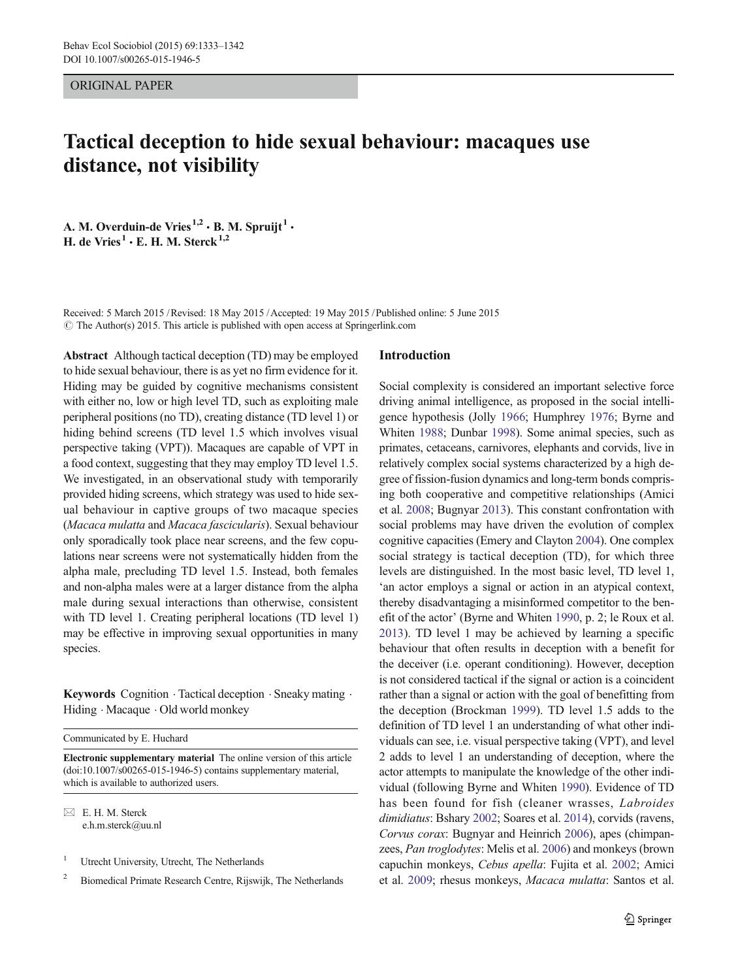ORIGINAL PAPER

# Tactical deception to hide sexual behaviour: macaques use distance, not visibility

A. M. Overduin-de Vries<sup>1,2</sup>  $\cdot$  B. M. Spruijt<sup>1</sup>  $\cdot$ H. de Vries<sup>1</sup>  $\cdot$  E. H. M. Sterck<sup>1,2</sup>

Received: 5 March 2015 /Revised: 18 May 2015 /Accepted: 19 May 2015 / Published online: 5 June 2015  $\odot$  The Author(s) 2015. This article is published with open access at Springerlink.com

Abstract Although tactical deception (TD) may be employed to hide sexual behaviour, there is as yet no firm evidence for it. Hiding may be guided by cognitive mechanisms consistent with either no, low or high level TD, such as exploiting male peripheral positions (no TD), creating distance (TD level 1) or hiding behind screens (TD level 1.5 which involves visual perspective taking (VPT)). Macaques are capable of VPT in a food context, suggesting that they may employ TD level 1.5. We investigated, in an observational study with temporarily provided hiding screens, which strategy was used to hide sexual behaviour in captive groups of two macaque species (Macaca mulatta and Macaca fascicularis). Sexual behaviour only sporadically took place near screens, and the few copulations near screens were not systematically hidden from the alpha male, precluding TD level 1.5. Instead, both females and non-alpha males were at a larger distance from the alpha male during sexual interactions than otherwise, consistent with TD level 1. Creating peripheral locations (TD level 1) may be effective in improving sexual opportunities in many species.

Keywords Cognition · Tactical deception · Sneaky mating · Hiding  $\cdot$  Macaque  $\cdot$  Old world monkey

Communicated by E. Huchard

Electronic supplementary material The online version of this article (doi[:10.1007/s00265-015-1946-5](http://dx.doi.org/10.1007/s00265-015-1946-5)) contains supplementary material, which is available to authorized users.

 $\boxtimes$  E. H. M. Sterck e.h.m.sterck@uu.nl

- <sup>1</sup> Utrecht University, Utrecht, The Netherlands
- <sup>2</sup> Biomedical Primate Research Centre, Rijswijk, The Netherlands

## Introduction

Social complexity is considered an important selective force driving animal intelligence, as proposed in the social intelligence hypothesis (Jolly [1966](#page-9-0); Humphrey [1976;](#page-9-0) Byrne and Whiten [1988;](#page-8-0) Dunbar [1998](#page-8-0)). Some animal species, such as primates, cetaceans, carnivores, elephants and corvids, live in relatively complex social systems characterized by a high degree of fission-fusion dynamics and long-term bonds comprising both cooperative and competitive relationships (Amici et al. [2008;](#page-8-0) Bugnyar [2013\)](#page-8-0). This constant confrontation with social problems may have driven the evolution of complex cognitive capacities (Emery and Clayton [2004](#page-8-0)). One complex social strategy is tactical deception (TD), for which three levels are distinguished. In the most basic level, TD level 1, 'an actor employs a signal or action in an atypical context, thereby disadvantaging a misinformed competitor to the benefit of the actor' (Byrne and Whiten [1990,](#page-8-0) p. 2; le Roux et al. [2013\)](#page-9-0). TD level 1 may be achieved by learning a specific behaviour that often results in deception with a benefit for the deceiver (i.e. operant conditioning). However, deception is not considered tactical if the signal or action is a coincident rather than a signal or action with the goal of benefitting from the deception (Brockman [1999\)](#page-8-0). TD level 1.5 adds to the definition of TD level 1 an understanding of what other individuals can see, i.e. visual perspective taking (VPT), and level 2 adds to level 1 an understanding of deception, where the actor attempts to manipulate the knowledge of the other individual (following Byrne and Whiten [1990](#page-8-0)). Evidence of TD has been found for fish (cleaner wrasses, Labroides dimidiatus: Bshary [2002](#page-8-0); Soares et al. [2014\)](#page-9-0), corvids (ravens, Corvus corax: Bugnyar and Heinrich [2006](#page-8-0)), apes (chimpanzees, Pan troglodytes: Melis et al. [2006](#page-9-0)) and monkeys (brown capuchin monkeys, Cebus apella: Fujita et al. [2002;](#page-8-0) Amici et al. [2009;](#page-8-0) rhesus monkeys, Macaca mulatta: Santos et al.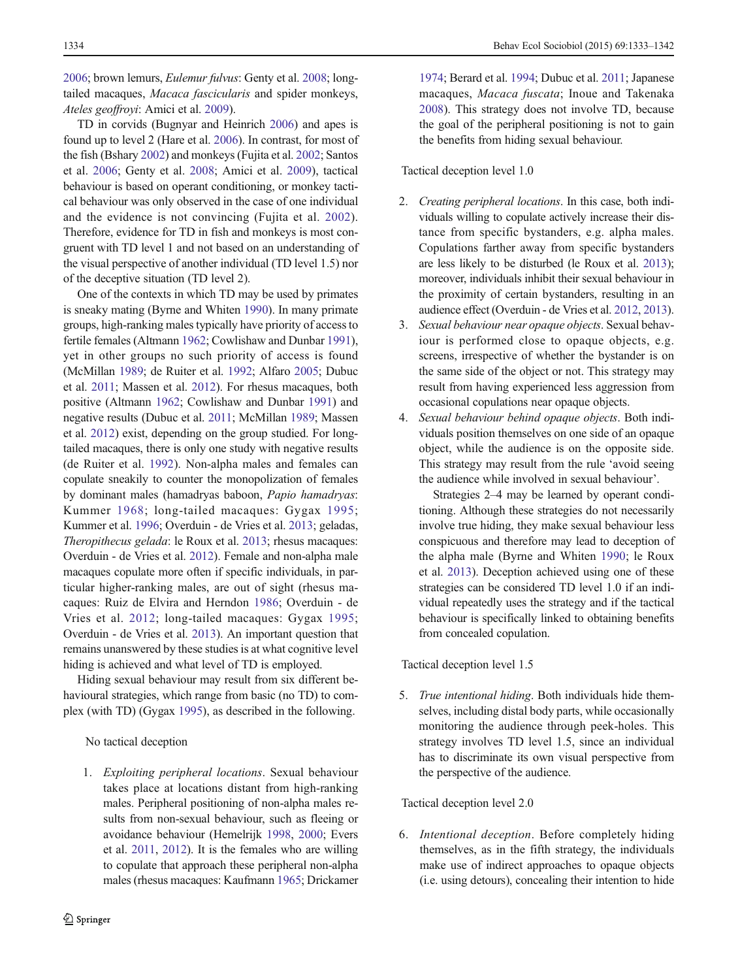[2006;](#page-9-0) brown lemurs, Eulemur fulvus: Genty et al. [2008;](#page-8-0) longtailed macaques, Macaca fascicularis and spider monkeys, Ateles geoffroyi: Amici et al. [2009\)](#page-8-0).

TD in corvids (Bugnyar and Heinrich [2006](#page-8-0)) and apes is found up to level 2 (Hare et al. [2006](#page-8-0)). In contrast, for most of the fish (Bshary [2002](#page-8-0)) and monkeys (Fujita et al. [2002;](#page-8-0) Santos et al. [2006;](#page-9-0) Genty et al. [2008](#page-8-0); Amici et al. [2009\)](#page-8-0), tactical behaviour is based on operant conditioning, or monkey tactical behaviour was only observed in the case of one individual and the evidence is not convincing (Fujita et al. [2002](#page-8-0)). Therefore, evidence for TD in fish and monkeys is most congruent with TD level 1 and not based on an understanding of the visual perspective of another individual (TD level 1.5) nor of the deceptive situation (TD level 2).

One of the contexts in which TD may be used by primates is sneaky mating (Byrne and Whiten [1990](#page-8-0)). In many primate groups, high-ranking males typically have priority of access to fertile females (Altmann [1962](#page-8-0); Cowlishaw and Dunbar [1991\)](#page-8-0), yet in other groups no such priority of access is found (McMillan [1989;](#page-9-0) de Ruiter et al. [1992](#page-8-0); Alfaro [2005](#page-8-0); Dubuc et al. [2011](#page-8-0); Massen et al. [2012](#page-9-0)). For rhesus macaques, both positive (Altmann [1962](#page-8-0); Cowlishaw and Dunbar [1991](#page-8-0)) and negative results (Dubuc et al. [2011](#page-8-0); McMillan [1989;](#page-9-0) Massen et al. [2012\)](#page-9-0) exist, depending on the group studied. For longtailed macaques, there is only one study with negative results (de Ruiter et al. [1992](#page-8-0)). Non-alpha males and females can copulate sneakily to counter the monopolization of females by dominant males (hamadryas baboon, Papio hamadryas: Kummer [1968;](#page-9-0) long-tailed macaques: Gygax [1995](#page-8-0); Kummer et al. [1996](#page-9-0); Overduin - de Vries et al. [2013;](#page-9-0) geladas, Theropithecus gelada: le Roux et al. [2013](#page-9-0); rhesus macaques: Overduin - de Vries et al. [2012\)](#page-9-0). Female and non-alpha male macaques copulate more often if specific individuals, in particular higher-ranking males, are out of sight (rhesus macaques: Ruiz de Elvira and Herndon [1986;](#page-9-0) Overduin - de Vries et al. [2012;](#page-9-0) long-tailed macaques: Gygax [1995](#page-8-0); Overduin - de Vries et al. [2013\)](#page-9-0). An important question that remains unanswered by these studies is at what cognitive level hiding is achieved and what level of TD is employed.

Hiding sexual behaviour may result from six different behavioural strategies, which range from basic (no TD) to complex (with TD) (Gygax [1995\)](#page-8-0), as described in the following.

No tactical deception

1. Exploiting peripheral locations. Sexual behaviour takes place at locations distant from high-ranking males. Peripheral positioning of non-alpha males results from non-sexual behaviour, such as fleeing or avoidance behaviour (Hemelrijk [1998,](#page-8-0) [2000;](#page-8-0) Evers et al. [2011](#page-8-0), [2012\)](#page-8-0). It is the females who are willing to copulate that approach these peripheral non-alpha males (rhesus macaques: Kaufmann [1965](#page-9-0); Drickamer

[1974](#page-8-0); Berard et al. [1994;](#page-8-0) Dubuc et al. [2011;](#page-8-0) Japanese macaques, Macaca fuscata; Inoue and Takenaka [2008](#page-9-0)). This strategy does not involve TD, because the goal of the peripheral positioning is not to gain the benefits from hiding sexual behaviour.

Tactical deception level 1.0

- 2. Creating peripheral locations. In this case, both individuals willing to copulate actively increase their distance from specific bystanders, e.g. alpha males. Copulations farther away from specific bystanders are less likely to be disturbed (le Roux et al. [2013\)](#page-9-0); moreover, individuals inhibit their sexual behaviour in the proximity of certain bystanders, resulting in an audience effect (Overduin - de Vries et al. [2012](#page-9-0), [2013\)](#page-9-0).
- 3. Sexual behaviour near opaque objects. Sexual behaviour is performed close to opaque objects, e.g. screens, irrespective of whether the bystander is on the same side of the object or not. This strategy may result from having experienced less aggression from occasional copulations near opaque objects.
- 4. Sexual behaviour behind opaque objects. Both individuals position themselves on one side of an opaque object, while the audience is on the opposite side. This strategy may result from the rule 'avoid seeing the audience while involved in sexual behaviour'.

Strategies 2–4 may be learned by operant conditioning. Although these strategies do not necessarily involve true hiding, they make sexual behaviour less conspicuous and therefore may lead to deception of the alpha male (Byrne and Whiten [1990](#page-8-0); le Roux et al. [2013\)](#page-9-0). Deception achieved using one of these strategies can be considered TD level 1.0 if an individual repeatedly uses the strategy and if the tactical behaviour is specifically linked to obtaining benefits from concealed copulation.

Tactical deception level 1.5

5. True intentional hiding. Both individuals hide themselves, including distal body parts, while occasionally monitoring the audience through peek-holes. This strategy involves TD level 1.5, since an individual has to discriminate its own visual perspective from the perspective of the audience.

Tactical deception level 2.0

6. Intentional deception. Before completely hiding themselves, as in the fifth strategy, the individuals make use of indirect approaches to opaque objects (i.e. using detours), concealing their intention to hide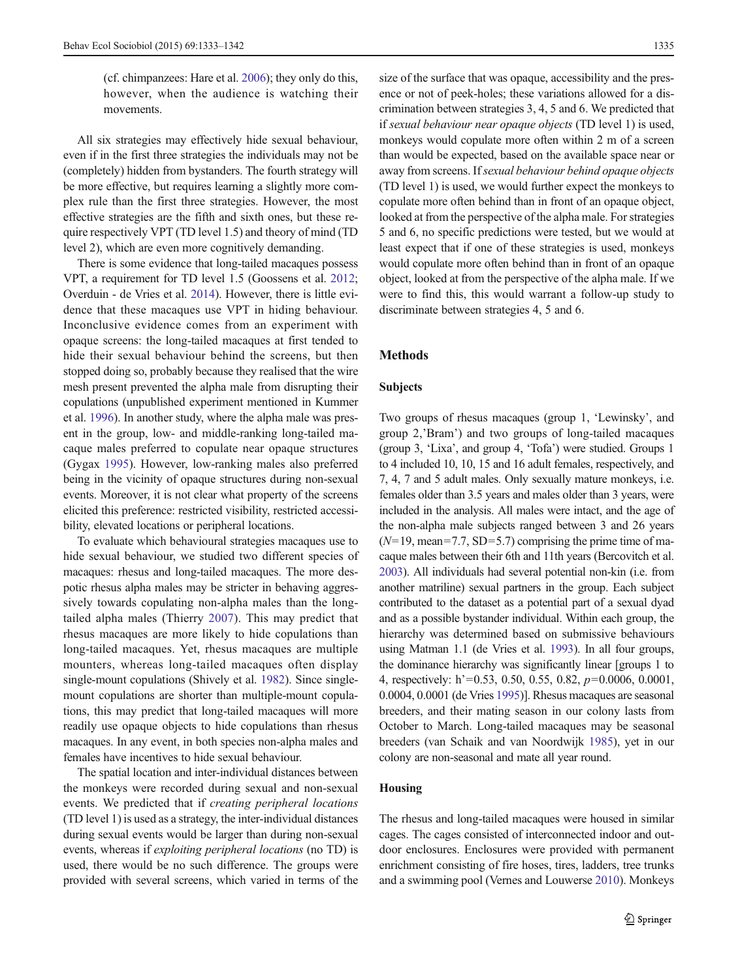(cf. chimpanzees: Hare et al. [2006\)](#page-8-0); they only do this, however, when the audience is watching their movements.

All six strategies may effectively hide sexual behaviour, even if in the first three strategies the individuals may not be (completely) hidden from bystanders. The fourth strategy will be more effective, but requires learning a slightly more complex rule than the first three strategies. However, the most effective strategies are the fifth and sixth ones, but these require respectively VPT (TD level 1.5) and theory of mind (TD level 2), which are even more cognitively demanding.

There is some evidence that long-tailed macaques possess VPT, a requirement for TD level 1.5 (Goossens et al. [2012](#page-8-0); Overduin - de Vries et al. [2014\)](#page-9-0). However, there is little evidence that these macaques use VPT in hiding behaviour. Inconclusive evidence comes from an experiment with opaque screens: the long-tailed macaques at first tended to hide their sexual behaviour behind the screens, but then stopped doing so, probably because they realised that the wire mesh present prevented the alpha male from disrupting their copulations (unpublished experiment mentioned in Kummer et al. [1996\)](#page-9-0). In another study, where the alpha male was present in the group, low- and middle-ranking long-tailed macaque males preferred to copulate near opaque structures (Gygax [1995](#page-8-0)). However, low-ranking males also preferred being in the vicinity of opaque structures during non-sexual events. Moreover, it is not clear what property of the screens elicited this preference: restricted visibility, restricted accessibility, elevated locations or peripheral locations.

To evaluate which behavioural strategies macaques use to hide sexual behaviour, we studied two different species of macaques: rhesus and long-tailed macaques. The more despotic rhesus alpha males may be stricter in behaving aggressively towards copulating non-alpha males than the longtailed alpha males (Thierry [2007\)](#page-9-0). This may predict that rhesus macaques are more likely to hide copulations than long-tailed macaques. Yet, rhesus macaques are multiple mounters, whereas long-tailed macaques often display single-mount copulations (Shively et al. [1982\)](#page-9-0). Since singlemount copulations are shorter than multiple-mount copulations, this may predict that long-tailed macaques will more readily use opaque objects to hide copulations than rhesus macaques. In any event, in both species non-alpha males and females have incentives to hide sexual behaviour.

The spatial location and inter-individual distances between the monkeys were recorded during sexual and non-sexual events. We predicted that if creating peripheral locations (TD level 1) is used as a strategy, the inter-individual distances during sexual events would be larger than during non-sexual events, whereas if exploiting peripheral locations (no TD) is used, there would be no such difference. The groups were provided with several screens, which varied in terms of the size of the surface that was opaque, accessibility and the presence or not of peek-holes; these variations allowed for a discrimination between strategies 3, 4, 5 and 6. We predicted that if sexual behaviour near opaque objects (TD level 1) is used, monkeys would copulate more often within 2 m of a screen than would be expected, based on the available space near or away from screens. If sexual behaviour behind opaque objects (TD level 1) is used, we would further expect the monkeys to copulate more often behind than in front of an opaque object, looked at from the perspective of the alpha male. For strategies 5 and 6, no specific predictions were tested, but we would at least expect that if one of these strategies is used, monkeys would copulate more often behind than in front of an opaque object, looked at from the perspective of the alpha male. If we were to find this, this would warrant a follow-up study to discriminate between strategies 4, 5 and 6.

# Methods

## Subjects

Two groups of rhesus macaques (group 1, 'Lewinsky', and group 2,'Bram') and two groups of long-tailed macaques (group 3, 'Lixa', and group 4, 'Tofa') were studied. Groups 1 to 4 included 10, 10, 15 and 16 adult females, respectively, and 7, 4, 7 and 5 adult males. Only sexually mature monkeys, i.e. females older than 3.5 years and males older than 3 years, were included in the analysis. All males were intact, and the age of the non-alpha male subjects ranged between 3 and 26 years  $(N=19, \text{mean}=7.7, \text{SD}=5.7)$  comprising the prime time of macaque males between their 6th and 11th years (Bercovitch et al. [2003](#page-8-0)). All individuals had several potential non-kin (i.e. from another matriline) sexual partners in the group. Each subject contributed to the dataset as a potential part of a sexual dyad and as a possible bystander individual. Within each group, the hierarchy was determined based on submissive behaviours using Matman 1.1 (de Vries et al. [1993](#page-8-0)). In all four groups, the dominance hierarchy was significantly linear [groups 1 to 4, respectively: h'=0.53, 0.50, 0.55, 0.82, p=0.0006, 0.0001, 0.0004, 0.0001 (de Vries [1995\)](#page-8-0)]. Rhesus macaques are seasonal breeders, and their mating season in our colony lasts from October to March. Long-tailed macaques may be seasonal breeders (van Schaik and van Noordwijk [1985\)](#page-9-0), yet in our colony are non-seasonal and mate all year round.

## Housing

The rhesus and long-tailed macaques were housed in similar cages. The cages consisted of interconnected indoor and outdoor enclosures. Enclosures were provided with permanent enrichment consisting of fire hoses, tires, ladders, tree trunks and a swimming pool (Vernes and Louwerse [2010](#page-9-0)). Monkeys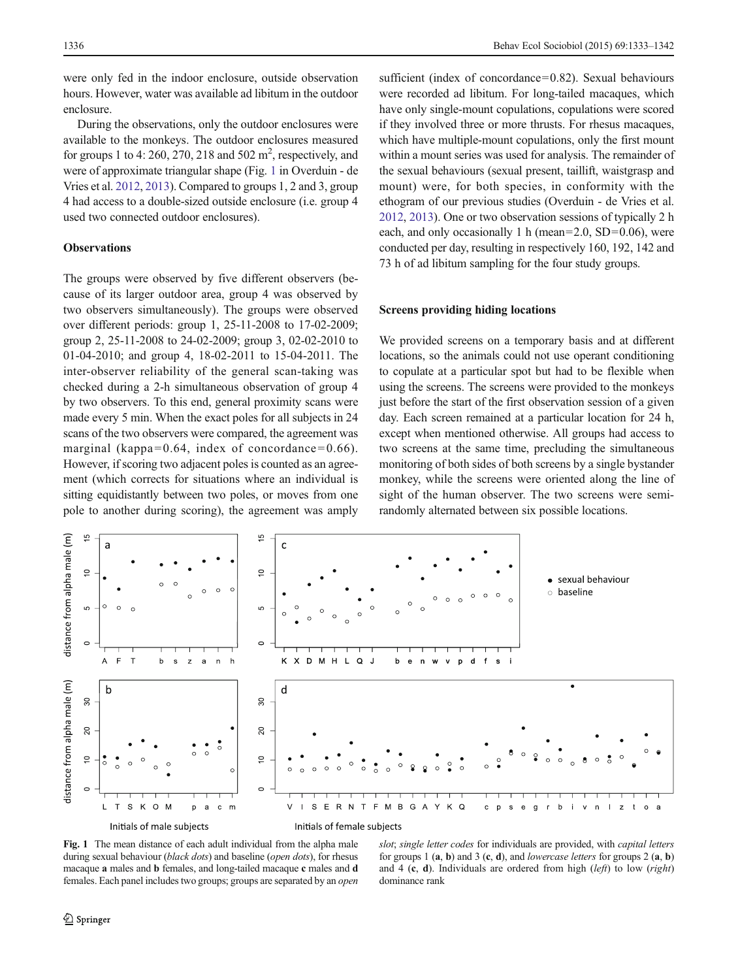<span id="page-3-0"></span>were only fed in the indoor enclosure, outside observation hours. However, water was available ad libitum in the outdoor enclosure.

During the observations, only the outdoor enclosures were available to the monkeys. The outdoor enclosures measured for groups 1 to 4: 260, 270, 218 and 502  $m^2$ , respectively, and were of approximate triangular shape (Fig. 1 in Overduin - de Vries et al. [2012,](#page-9-0) [2013\)](#page-9-0). Compared to groups 1, 2 and 3, group 4 had access to a double-sized outside enclosure (i.e. group 4 used two connected outdoor enclosures).

# **Observations**

The groups were observed by five different observers (because of its larger outdoor area, group 4 was observed by two observers simultaneously). The groups were observed over different periods: group 1, 25-11-2008 to 17-02-2009; group 2, 25-11-2008 to 24-02-2009; group 3, 02-02-2010 to 01-04-2010; and group 4, 18-02-2011 to 15-04-2011. The inter-observer reliability of the general scan-taking was checked during a 2-h simultaneous observation of group 4 by two observers. To this end, general proximity scans were made every 5 min. When the exact poles for all subjects in 24 scans of the two observers were compared, the agreement was marginal (kappa=0.64, index of concordance=0.66). However, if scoring two adjacent poles is counted as an agreement (which corrects for situations where an individual is sitting equidistantly between two poles, or moves from one pole to another during scoring), the agreement was amply

sufficient (index of concordance=0.82). Sexual behaviours were recorded ad libitum. For long-tailed macaques, which have only single-mount copulations, copulations were scored if they involved three or more thrusts. For rhesus macaques, which have multiple-mount copulations, only the first mount within a mount series was used for analysis. The remainder of the sexual behaviours (sexual present, taillift, waistgrasp and mount) were, for both species, in conformity with the ethogram of our previous studies (Overduin - de Vries et al. [2012,](#page-9-0) [2013](#page-9-0)). One or two observation sessions of typically 2 h each, and only occasionally 1 h (mean=2.0, SD=0.06), were conducted per day, resulting in respectively 160, 192, 142 and 73 h of ad libitum sampling for the four study groups.

# Screens providing hiding locations

We provided screens on a temporary basis and at different locations, so the animals could not use operant conditioning to copulate at a particular spot but had to be flexible when using the screens. The screens were provided to the monkeys just before the start of the first observation session of a given day. Each screen remained at a particular location for 24 h, except when mentioned otherwise. All groups had access to two screens at the same time, precluding the simultaneous monitoring of both sides of both screens by a single bystander monkey, while the screens were oriented along the line of sight of the human observer. The two screens were semirandomly alternated between six possible locations.



Fig. 1 The mean distance of each adult individual from the alpha male during sexual behaviour (black dots) and baseline (open dots), for rhesus macaque a males and b females, and long-tailed macaque c males and d females. Each panel includes two groups; groups are separated by an open

slot; single letter codes for individuals are provided, with capital letters for groups 1  $(a, b)$  and 3  $(c, d)$ , and *lowercase letters* for groups 2  $(a, b)$ and 4 (c, d). Individuals are ordered from high (*left*) to low (*right*) dominance rank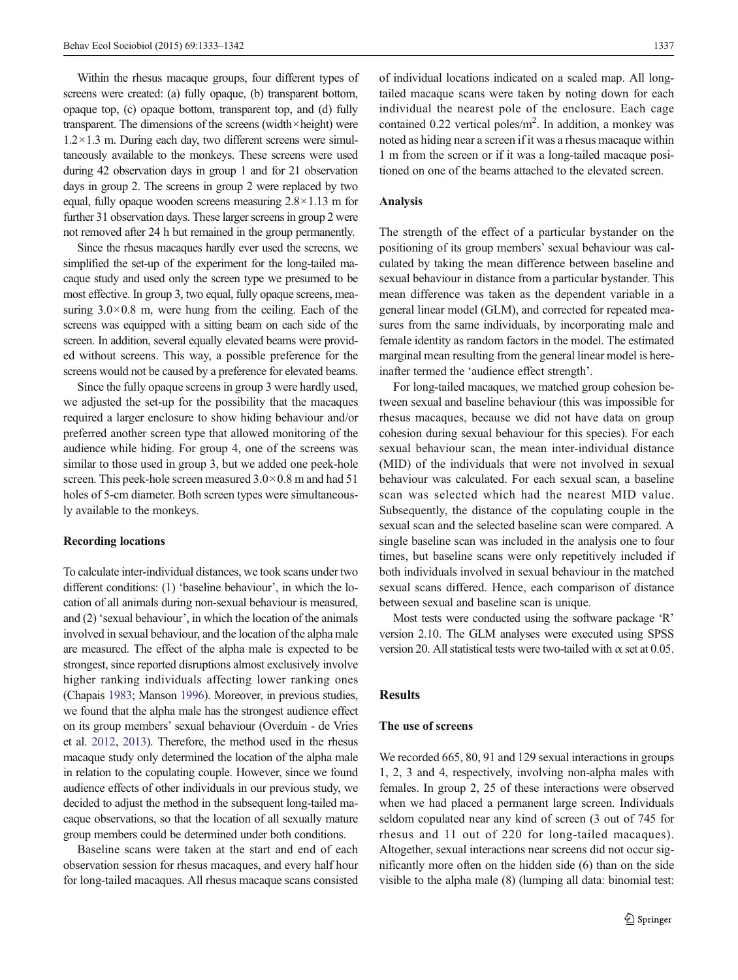Within the rhesus macaque groups, four different types of screens were created: (a) fully opaque, (b) transparent bottom, opaque top, (c) opaque bottom, transparent top, and (d) fully transparent. The dimensions of the screens (width $\times$ height) were  $1.2 \times 1.3$  m. During each day, two different screens were simultaneously available to the monkeys. These screens were used during 42 observation days in group 1 and for 21 observation days in group 2. The screens in group 2 were replaced by two equal, fully opaque wooden screens measuring  $2.8 \times 1.13$  m for further 31 observation days. These larger screens in group 2 were not removed after 24 h but remained in the group permanently.

Since the rhesus macaques hardly ever used the screens, we simplified the set-up of the experiment for the long-tailed macaque study and used only the screen type we presumed to be most effective. In group 3, two equal, fully opaque screens, measuring  $3.0 \times 0.8$  m, were hung from the ceiling. Each of the screens was equipped with a sitting beam on each side of the screen. In addition, several equally elevated beams were provided without screens. This way, a possible preference for the screens would not be caused by a preference for elevated beams.

Since the fully opaque screens in group 3 were hardly used, we adjusted the set-up for the possibility that the macaques required a larger enclosure to show hiding behaviour and/or preferred another screen type that allowed monitoring of the audience while hiding. For group 4, one of the screens was similar to those used in group 3, but we added one peek-hole screen. This peek-hole screen measured  $3.0 \times 0.8$  m and had 51 holes of 5-cm diameter. Both screen types were simultaneously available to the monkeys.

#### Recording locations

To calculate inter-individual distances, we took scans under two different conditions: (1) 'baseline behaviour', in which the location of all animals during non-sexual behaviour is measured, and (2) 'sexual behaviour', in which the location of the animals involved in sexual behaviour, and the location of the alpha male are measured. The effect of the alpha male is expected to be strongest, since reported disruptions almost exclusively involve higher ranking individuals affecting lower ranking ones (Chapais [1983;](#page-8-0) Manson [1996\)](#page-9-0). Moreover, in previous studies, we found that the alpha male has the strongest audience effect on its group members' sexual behaviour (Overduin - de Vries et al. [2012](#page-9-0), [2013](#page-9-0)). Therefore, the method used in the rhesus macaque study only determined the location of the alpha male in relation to the copulating couple. However, since we found audience effects of other individuals in our previous study, we decided to adjust the method in the subsequent long-tailed macaque observations, so that the location of all sexually mature group members could be determined under both conditions.

Baseline scans were taken at the start and end of each observation session for rhesus macaques, and every half hour for long-tailed macaques. All rhesus macaque scans consisted of individual locations indicated on a scaled map. All longtailed macaque scans were taken by noting down for each individual the nearest pole of the enclosure. Each cage contained 0.22 vertical poles/m<sup>2</sup>. In addition, a monkey was noted as hiding near a screen if it was a rhesus macaque within 1 m from the screen or if it was a long-tailed macaque positioned on one of the beams attached to the elevated screen.

# Analysis

The strength of the effect of a particular bystander on the positioning of its group members' sexual behaviour was calculated by taking the mean difference between baseline and sexual behaviour in distance from a particular bystander. This mean difference was taken as the dependent variable in a general linear model (GLM), and corrected for repeated measures from the same individuals, by incorporating male and female identity as random factors in the model. The estimated marginal mean resulting from the general linear model is hereinafter termed the 'audience effect strength'.

For long-tailed macaques, we matched group cohesion between sexual and baseline behaviour (this was impossible for rhesus macaques, because we did not have data on group cohesion during sexual behaviour for this species). For each sexual behaviour scan, the mean inter-individual distance (MID) of the individuals that were not involved in sexual behaviour was calculated. For each sexual scan, a baseline scan was selected which had the nearest MID value. Subsequently, the distance of the copulating couple in the sexual scan and the selected baseline scan were compared. A single baseline scan was included in the analysis one to four times, but baseline scans were only repetitively included if both individuals involved in sexual behaviour in the matched sexual scans differed. Hence, each comparison of distance between sexual and baseline scan is unique.

Most tests were conducted using the software package 'R' version 2.10. The GLM analyses were executed using SPSS version 20. All statistical tests were two-tailed with  $\alpha$  set at 0.05.

## Results

# The use of screens

We recorded 665, 80, 91 and 129 sexual interactions in groups 1, 2, 3 and 4, respectively, involving non-alpha males with females. In group 2, 25 of these interactions were observed when we had placed a permanent large screen. Individuals seldom copulated near any kind of screen (3 out of 745 for rhesus and 11 out of 220 for long-tailed macaques). Altogether, sexual interactions near screens did not occur significantly more often on the hidden side (6) than on the side visible to the alpha male (8) (lumping all data: binomial test: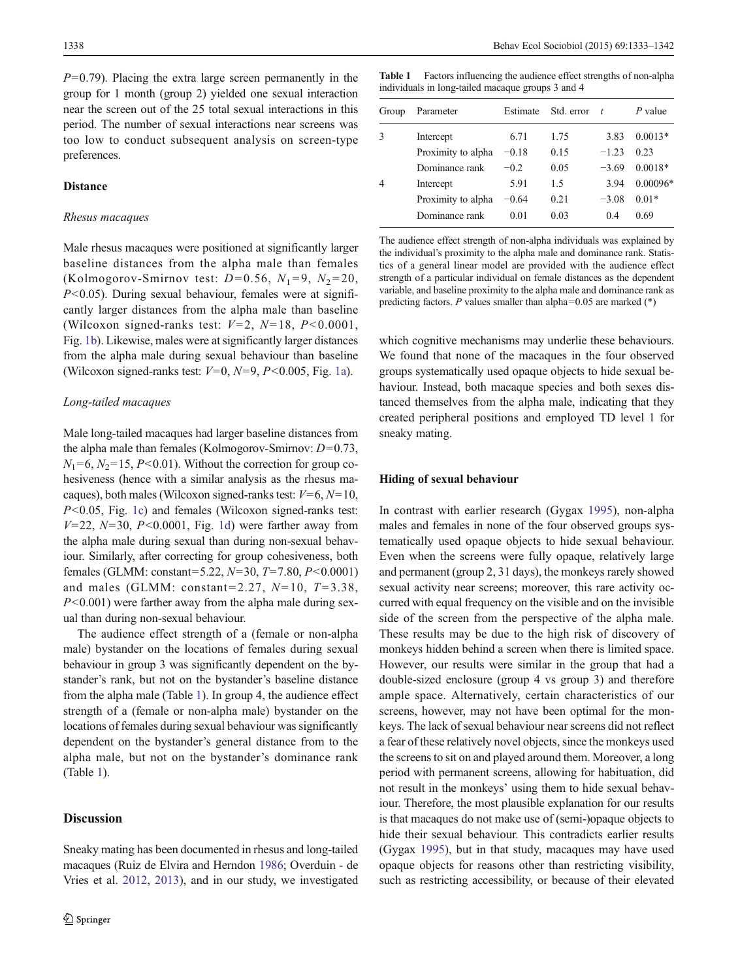$P=0.79$ ). Placing the extra large screen permanently in the group for 1 month (group 2) yielded one sexual interaction near the screen out of the 25 total sexual interactions in this period. The number of sexual interactions near screens was too low to conduct subsequent analysis on screen-type preferences.

## **Distance**

#### Rhesus macaques

Male rhesus macaques were positioned at significantly larger baseline distances from the alpha male than females (Kolmogorov-Smirnov test:  $D=0.56$ ,  $N_1=9$ ,  $N_2=20$ ,  $P<0.05$ ). During sexual behaviour, females were at significantly larger distances from the alpha male than baseline (Wilcoxon signed-ranks test:  $V=2$ ,  $N=18$ ,  $P<0.0001$ , Fig. [1b](#page-3-0)). Likewise, males were at significantly larger distances from the alpha male during sexual behaviour than baseline (Wilcoxon signed-ranks test:  $V=0$ ,  $N=9$ ,  $P<0.005$ , Fig. [1a](#page-3-0)).

## Long-tailed macaques

Male long-tailed macaques had larger baseline distances from the alpha male than females (Kolmogorov-Smirnov:  $D=0.73$ ,  $N_1=6$ ,  $N_2=15$ ,  $P<0.01$ ). Without the correction for group cohesiveness (hence with a similar analysis as the rhesus macaques), both males (Wilcoxon signed-ranks test:  $V=6$ ,  $N=10$ , P<0.05, Fig. [1c\)](#page-3-0) and females (Wilcoxon signed-ranks test:  $V=22$ ,  $N=30$ ,  $P<0.0001$ , Fig. [1d](#page-3-0)) were farther away from the alpha male during sexual than during non-sexual behaviour. Similarly, after correcting for group cohesiveness, both females (GLMM: constant=5.22,  $N=30$ ,  $T=7.80$ ,  $P<0.0001$ ) and males (GLMM: constant=2.27,  $N=10$ ,  $T=3.38$ ,  $P<0.001$ ) were farther away from the alpha male during sexual than during non-sexual behaviour.

The audience effect strength of a (female or non-alpha male) bystander on the locations of females during sexual behaviour in group 3 was significantly dependent on the bystander's rank, but not on the bystander's baseline distance from the alpha male (Table 1). In group 4, the audience effect strength of a (female or non-alpha male) bystander on the locations of females during sexual behaviour was significantly dependent on the bystander's general distance from to the alpha male, but not on the bystander's dominance rank (Table 1).

# Discussion

Sneaky mating has been documented in rhesus and long-tailed macaques (Ruiz de Elvira and Herndon [1986;](#page-9-0) Overduin - de Vries et al. [2012,](#page-9-0) [2013\)](#page-9-0), and in our study, we investigated

Table 1 Factors influencing the audience effect strengths of non-alpha individuals in long-tailed macaque groups 3 and 4

| Group | Parameter          | Estimate | Std. error | $\tau$  | $P$ value  |
|-------|--------------------|----------|------------|---------|------------|
| 3     | Intercept          | 6.71     | 1.75       | 3.83    | $0.0013*$  |
|       | Proximity to alpha | $-0.18$  | 0.15       | $-1.23$ | 0.23       |
|       | Dominance rank     | $-0.2$   | 0.05       | $-3.69$ | $0.0018*$  |
|       | Intercept          | 5.91     | 1.5        | 3.94    | $0.00096*$ |
|       | Proximity to alpha | $-0.64$  | 0.21       | $-3.08$ | $0.01*$    |
|       | Dominance rank     | 0.01     | 0.03       | 0.4     | 0.69       |

The audience effect strength of non-alpha individuals was explained by the individual's proximity to the alpha male and dominance rank. Statistics of a general linear model are provided with the audience effect strength of a particular individual on female distances as the dependent variable, and baseline proximity to the alpha male and dominance rank as predicting factors. P values smaller than alpha= $0.05$  are marked (\*)

which cognitive mechanisms may underlie these behaviours. We found that none of the macaques in the four observed groups systematically used opaque objects to hide sexual behaviour. Instead, both macaque species and both sexes distanced themselves from the alpha male, indicating that they created peripheral positions and employed TD level 1 for sneaky mating.

## Hiding of sexual behaviour

In contrast with earlier research (Gygax [1995\)](#page-8-0), non-alpha males and females in none of the four observed groups systematically used opaque objects to hide sexual behaviour. Even when the screens were fully opaque, relatively large and permanent (group 2, 31 days), the monkeys rarely showed sexual activity near screens; moreover, this rare activity occurred with equal frequency on the visible and on the invisible side of the screen from the perspective of the alpha male. These results may be due to the high risk of discovery of monkeys hidden behind a screen when there is limited space. However, our results were similar in the group that had a double-sized enclosure (group 4 vs group 3) and therefore ample space. Alternatively, certain characteristics of our screens, however, may not have been optimal for the monkeys. The lack of sexual behaviour near screens did not reflect a fear of these relatively novel objects, since the monkeys used the screens to sit on and played around them. Moreover, a long period with permanent screens, allowing for habituation, did not result in the monkeys' using them to hide sexual behaviour. Therefore, the most plausible explanation for our results is that macaques do not make use of (semi-)opaque objects to hide their sexual behaviour. This contradicts earlier results (Gygax [1995](#page-8-0)), but in that study, macaques may have used opaque objects for reasons other than restricting visibility, such as restricting accessibility, or because of their elevated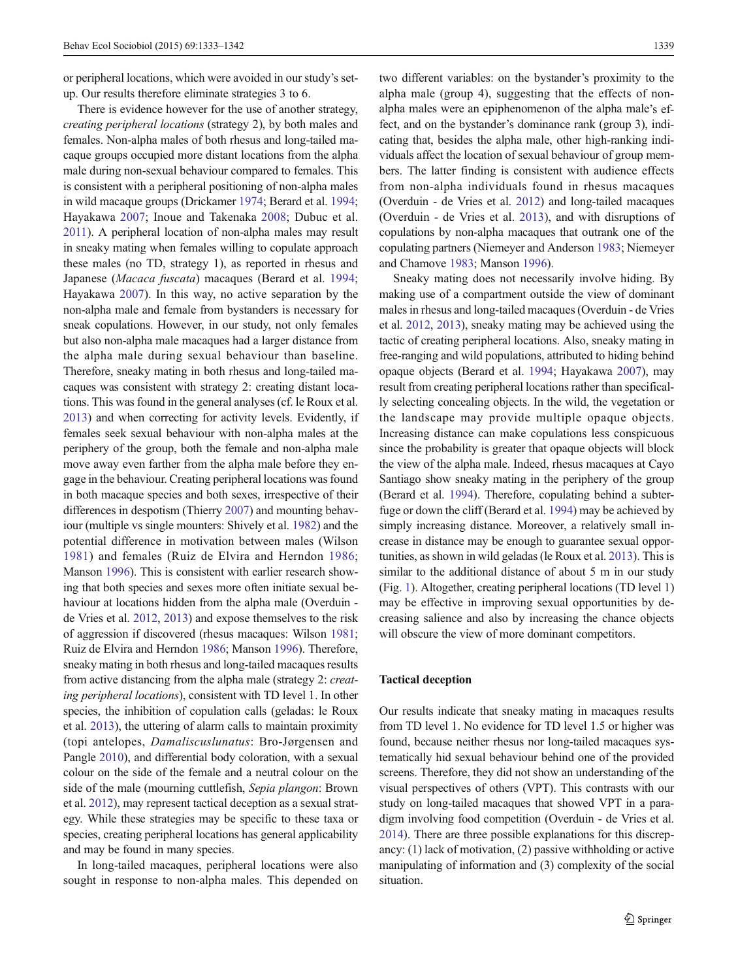or peripheral locations, which were avoided in our study's setup. Our results therefore eliminate strategies 3 to 6.

There is evidence however for the use of another strategy, creating peripheral locations (strategy 2), by both males and females. Non-alpha males of both rhesus and long-tailed macaque groups occupied more distant locations from the alpha male during non-sexual behaviour compared to females. This is consistent with a peripheral positioning of non-alpha males in wild macaque groups (Drickamer [1974](#page-8-0); Berard et al. [1994](#page-8-0); Hayakawa [2007](#page-8-0); Inoue and Takenaka [2008](#page-9-0); Dubuc et al. [2011](#page-8-0)). A peripheral location of non-alpha males may result in sneaky mating when females willing to copulate approach these males (no TD, strategy 1), as reported in rhesus and Japanese (Macaca fuscata) macaques (Berard et al. [1994](#page-8-0); Hayakawa [2007\)](#page-8-0). In this way, no active separation by the non-alpha male and female from bystanders is necessary for sneak copulations. However, in our study, not only females but also non-alpha male macaques had a larger distance from the alpha male during sexual behaviour than baseline. Therefore, sneaky mating in both rhesus and long-tailed macaques was consistent with strategy 2: creating distant locations. This was found in the general analyses (cf. le Roux et al. [2013\)](#page-9-0) and when correcting for activity levels. Evidently, if females seek sexual behaviour with non-alpha males at the periphery of the group, both the female and non-alpha male move away even farther from the alpha male before they engage in the behaviour. Creating peripheral locations was found in both macaque species and both sexes, irrespective of their differences in despotism (Thierry [2007](#page-9-0)) and mounting behaviour (multiple vs single mounters: Shively et al. [1982\)](#page-9-0) and the potential difference in motivation between males (Wilson [1981\)](#page-9-0) and females (Ruiz de Elvira and Herndon [1986](#page-9-0); Manson [1996\)](#page-9-0). This is consistent with earlier research showing that both species and sexes more often initiate sexual behaviour at locations hidden from the alpha male (Overduin de Vries et al. [2012](#page-9-0), [2013\)](#page-9-0) and expose themselves to the risk of aggression if discovered (rhesus macaques: Wilson [1981](#page-9-0); Ruiz de Elvira and Herndon [1986](#page-9-0); Manson [1996\)](#page-9-0). Therefore, sneaky mating in both rhesus and long-tailed macaques results from active distancing from the alpha male (strategy 2: creating peripheral locations), consistent with TD level 1. In other species, the inhibition of copulation calls (geladas: le Roux et al. [2013](#page-9-0)), the uttering of alarm calls to maintain proximity (topi antelopes, Damaliscuslunatus: Bro-Jørgensen and Pangle [2010\)](#page-8-0), and differential body coloration, with a sexual colour on the side of the female and a neutral colour on the side of the male (mourning cuttlefish, Sepia plangon: Brown et al. [2012](#page-8-0)), may represent tactical deception as a sexual strategy. While these strategies may be specific to these taxa or species, creating peripheral locations has general applicability and may be found in many species.

In long-tailed macaques, peripheral locations were also sought in response to non-alpha males. This depended on two different variables: on the bystander's proximity to the alpha male (group 4), suggesting that the effects of nonalpha males were an epiphenomenon of the alpha male's effect, and on the bystander's dominance rank (group 3), indicating that, besides the alpha male, other high-ranking individuals affect the location of sexual behaviour of group members. The latter finding is consistent with audience effects from non-alpha individuals found in rhesus macaques (Overduin - de Vries et al. [2012](#page-9-0)) and long-tailed macaques (Overduin - de Vries et al. [2013](#page-9-0)), and with disruptions of copulations by non-alpha macaques that outrank one of the copulating partners (Niemeyer and Anderson [1983](#page-9-0); Niemeyer and Chamove [1983;](#page-9-0) Manson [1996](#page-9-0)).

Sneaky mating does not necessarily involve hiding. By making use of a compartment outside the view of dominant males in rhesus and long-tailed macaques (Overduin - de Vries et al. [2012](#page-9-0), [2013](#page-9-0)), sneaky mating may be achieved using the tactic of creating peripheral locations. Also, sneaky mating in free-ranging and wild populations, attributed to hiding behind opaque objects (Berard et al. [1994;](#page-8-0) Hayakawa [2007\)](#page-8-0), may result from creating peripheral locations rather than specifically selecting concealing objects. In the wild, the vegetation or the landscape may provide multiple opaque objects. Increasing distance can make copulations less conspicuous since the probability is greater that opaque objects will block the view of the alpha male. Indeed, rhesus macaques at Cayo Santiago show sneaky mating in the periphery of the group (Berard et al. [1994](#page-8-0)). Therefore, copulating behind a subterfuge or down the cliff (Berard et al. [1994\)](#page-8-0) may be achieved by simply increasing distance. Moreover, a relatively small increase in distance may be enough to guarantee sexual opportunities, as shown in wild geladas (le Roux et al. [2013](#page-9-0)). This is similar to the additional distance of about 5 m in our study (Fig. [1\)](#page-3-0). Altogether, creating peripheral locations (TD level 1) may be effective in improving sexual opportunities by decreasing salience and also by increasing the chance objects will obscure the view of more dominant competitors.

## Tactical deception

Our results indicate that sneaky mating in macaques results from TD level 1. No evidence for TD level 1.5 or higher was found, because neither rhesus nor long-tailed macaques systematically hid sexual behaviour behind one of the provided screens. Therefore, they did not show an understanding of the visual perspectives of others (VPT). This contrasts with our study on long-tailed macaques that showed VPT in a paradigm involving food competition (Overduin - de Vries et al. [2014\)](#page-9-0). There are three possible explanations for this discrepancy: (1) lack of motivation, (2) passive withholding or active manipulating of information and (3) complexity of the social situation.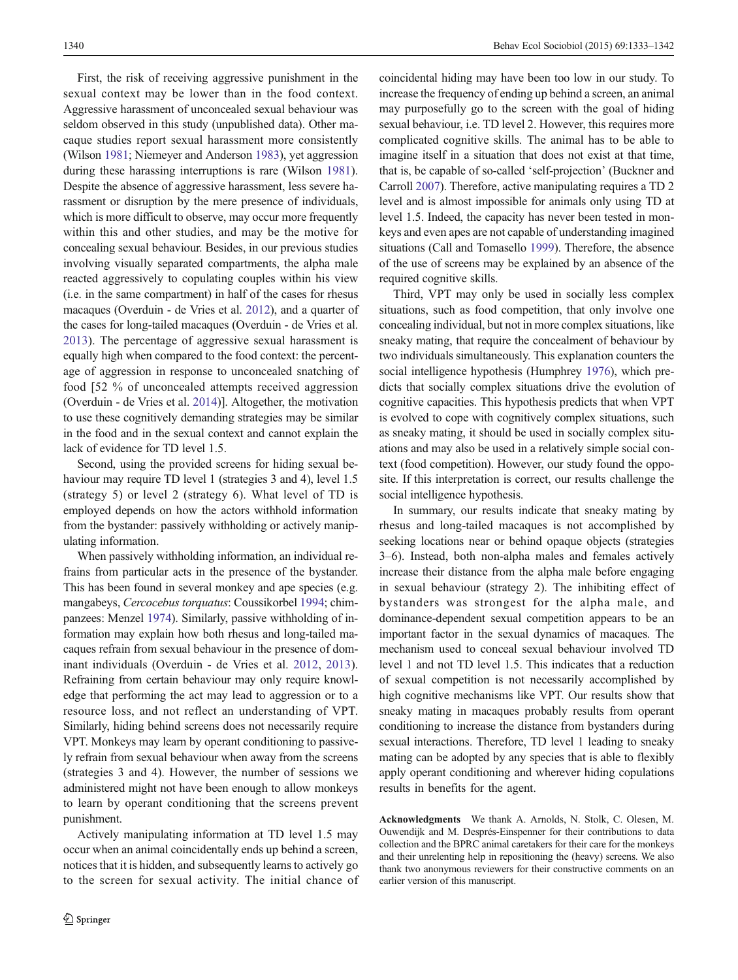First, the risk of receiving aggressive punishment in the sexual context may be lower than in the food context. Aggressive harassment of unconcealed sexual behaviour was seldom observed in this study (unpublished data). Other macaque studies report sexual harassment more consistently (Wilson [1981;](#page-9-0) Niemeyer and Anderson [1983\)](#page-9-0), yet aggression during these harassing interruptions is rare (Wilson [1981](#page-9-0)). Despite the absence of aggressive harassment, less severe harassment or disruption by the mere presence of individuals, which is more difficult to observe, may occur more frequently within this and other studies, and may be the motive for concealing sexual behaviour. Besides, in our previous studies involving visually separated compartments, the alpha male reacted aggressively to copulating couples within his view (i.e. in the same compartment) in half of the cases for rhesus macaques (Overduin - de Vries et al. [2012](#page-9-0)), and a quarter of the cases for long-tailed macaques (Overduin - de Vries et al. [2013](#page-9-0)). The percentage of aggressive sexual harassment is equally high when compared to the food context: the percentage of aggression in response to unconcealed snatching of food [52 % of unconcealed attempts received aggression (Overduin - de Vries et al. [2014](#page-9-0))]. Altogether, the motivation to use these cognitively demanding strategies may be similar in the food and in the sexual context and cannot explain the lack of evidence for TD level 1.5.

Second, using the provided screens for hiding sexual behaviour may require TD level 1 (strategies 3 and 4), level 1.5 (strategy 5) or level 2 (strategy 6). What level of TD is employed depends on how the actors withhold information from the bystander: passively withholding or actively manipulating information.

When passively withholding information, an individual refrains from particular acts in the presence of the bystander. This has been found in several monkey and ape species (e.g. mangabeys, Cercocebus torquatus: Coussikorbel [1994;](#page-8-0) chimpanzees: Menzel [1974](#page-9-0)). Similarly, passive withholding of information may explain how both rhesus and long-tailed macaques refrain from sexual behaviour in the presence of dominant individuals (Overduin - de Vries et al. [2012,](#page-9-0) [2013](#page-9-0)). Refraining from certain behaviour may only require knowledge that performing the act may lead to aggression or to a resource loss, and not reflect an understanding of VPT. Similarly, hiding behind screens does not necessarily require VPT. Monkeys may learn by operant conditioning to passively refrain from sexual behaviour when away from the screens (strategies 3 and 4). However, the number of sessions we administered might not have been enough to allow monkeys to learn by operant conditioning that the screens prevent punishment.

Actively manipulating information at TD level 1.5 may occur when an animal coincidentally ends up behind a screen, notices that it is hidden, and subsequently learns to actively go to the screen for sexual activity. The initial chance of coincidental hiding may have been too low in our study. To increase the frequency of ending up behind a screen, an animal may purposefully go to the screen with the goal of hiding sexual behaviour, i.e. TD level 2. However, this requires more complicated cognitive skills. The animal has to be able to imagine itself in a situation that does not exist at that time, that is, be capable of so-called 'self-projection' (Buckner and Carroll [2007](#page-8-0)). Therefore, active manipulating requires a TD 2 level and is almost impossible for animals only using TD at level 1.5. Indeed, the capacity has never been tested in monkeys and even apes are not capable of understanding imagined situations (Call and Tomasello [1999](#page-8-0)). Therefore, the absence of the use of screens may be explained by an absence of the required cognitive skills.

Third, VPT may only be used in socially less complex situations, such as food competition, that only involve one concealing individual, but not in more complex situations, like sneaky mating, that require the concealment of behaviour by two individuals simultaneously. This explanation counters the social intelligence hypothesis (Humphrey [1976\)](#page-9-0), which predicts that socially complex situations drive the evolution of cognitive capacities. This hypothesis predicts that when VPT is evolved to cope with cognitively complex situations, such as sneaky mating, it should be used in socially complex situations and may also be used in a relatively simple social context (food competition). However, our study found the opposite. If this interpretation is correct, our results challenge the social intelligence hypothesis.

In summary, our results indicate that sneaky mating by rhesus and long-tailed macaques is not accomplished by seeking locations near or behind opaque objects (strategies 3–6). Instead, both non-alpha males and females actively increase their distance from the alpha male before engaging in sexual behaviour (strategy 2). The inhibiting effect of bystanders was strongest for the alpha male, and dominance-dependent sexual competition appears to be an important factor in the sexual dynamics of macaques. The mechanism used to conceal sexual behaviour involved TD level 1 and not TD level 1.5. This indicates that a reduction of sexual competition is not necessarily accomplished by high cognitive mechanisms like VPT. Our results show that sneaky mating in macaques probably results from operant conditioning to increase the distance from bystanders during sexual interactions. Therefore, TD level 1 leading to sneaky mating can be adopted by any species that is able to flexibly apply operant conditioning and wherever hiding copulations results in benefits for the agent.

Acknowledgments We thank A. Arnolds, N. Stolk, C. Olesen, M. Ouwendijk and M. Després-Einspenner for their contributions to data collection and the BPRC animal caretakers for their care for the monkeys and their unrelenting help in repositioning the (heavy) screens. We also thank two anonymous reviewers for their constructive comments on an earlier version of this manuscript.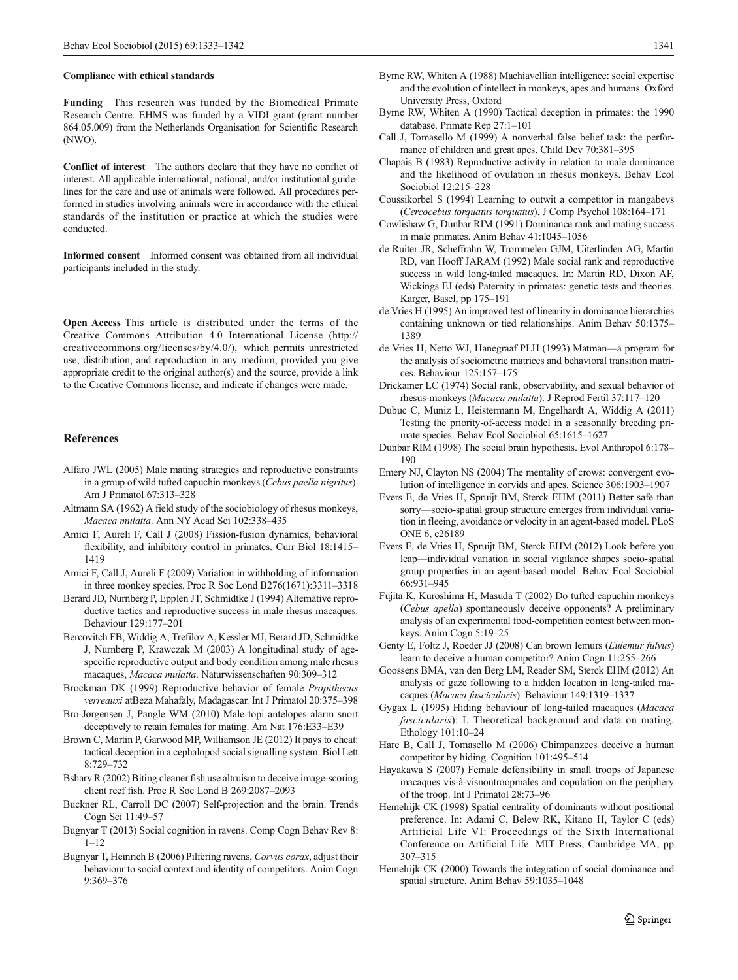#### <span id="page-8-0"></span>Compliance with ethical standards

Funding This research was funded by the Biomedical Primate Research Centre. EHMS was funded by a VIDI grant (grant number 864.05.009) from the Netherlands Organisation for Scientific Research (NWO).

Conflict of interest The authors declare that they have no conflict of interest. All applicable international, national, and/or institutional guidelines for the care and use of animals were followed. All procedures performed in studies involving animals were in accordance with the ethical standards of the institution or practice at which the studies were conducted.

Informed consent Informed consent was obtained from all individual participants included in the study.

Open Access This article is distributed under the terms of the Creative Commons Attribution 4.0 International License (http:// creativecommons.org/licenses/by/4.0/), which permits unrestricted use, distribution, and reproduction in any medium, provided you give appropriate credit to the original author(s) and the source, provide a link to the Creative Commons license, and indicate if changes were made.

#### **References**

- Alfaro JWL (2005) Male mating strategies and reproductive constraints in a group of wild tufted capuchin monkeys (Cebus paella nigritus). Am J Primatol 67:313–328
- Altmann SA (1962) A field study of the sociobiology of rhesus monkeys, Macaca mulatta. Ann NY Acad Sci 102:338–435
- Amici F, Aureli F, Call J (2008) Fission-fusion dynamics, behavioral flexibility, and inhibitory control in primates. Curr Biol 18:1415– 1419
- Amici F, Call J, Aureli F (2009) Variation in withholding of information in three monkey species. Proc R Soc Lond B276(1671):3311–3318
- Berard JD, Nurnberg P, Epplen JT, Schmidtke J (1994) Alternative reproductive tactics and reproductive success in male rhesus macaques. Behaviour 129:177–201
- Bercovitch FB, Widdig A, Trefilov A, Kessler MJ, Berard JD, Schmidtke J, Nurnberg P, Krawczak M (2003) A longitudinal study of agespecific reproductive output and body condition among male rhesus macaques, Macaca mulatta. Naturwissenschaften 90:309–312
- Brockman DK (1999) Reproductive behavior of female Propithecus verreauxi atBeza Mahafaly, Madagascar. Int J Primatol 20:375–398
- Bro-Jørgensen J, Pangle WM (2010) Male topi antelopes alarm snort deceptively to retain females for mating. Am Nat 176:E33–E39
- Brown C, Martin P, Garwood MP, Williamson JE (2012) It pays to cheat: tactical deception in a cephalopod social signalling system. Biol Lett 8:729–732
- Bshary R (2002) Biting cleaner fish use altruism to deceive image-scoring client reef fish. Proc R Soc Lond B 269:2087–2093
- Buckner RL, Carroll DC (2007) Self-projection and the brain. Trends Cogn Sci 11:49–57
- Bugnyar T (2013) Social cognition in ravens. Comp Cogn Behav Rev 8:  $1 - 12$
- Bugnyar T, Heinrich B (2006) Pilfering ravens, Corvus corax, adjust their behaviour to social context and identity of competitors. Anim Cogn 9:369–376
- Byrne RW, Whiten A (1988) Machiavellian intelligence: social expertise and the evolution of intellect in monkeys, apes and humans. Oxford University Press, Oxford
- Byrne RW, Whiten A (1990) Tactical deception in primates: the 1990 database. Primate Rep 27:1–101
- Call J, Tomasello M (1999) A nonverbal false belief task: the performance of children and great apes. Child Dev 70:381–395
- Chapais B (1983) Reproductive activity in relation to male dominance and the likelihood of ovulation in rhesus monkeys. Behav Ecol Sociobiol 12:215–228
- Coussikorbel S (1994) Learning to outwit a competitor in mangabeys (Cercocebus torquatus torquatus). J Comp Psychol 108:164–171
- Cowlishaw G, Dunbar RIM (1991) Dominance rank and mating success in male primates. Anim Behav 41:1045–1056
- de Ruiter JR, Scheffrahn W, Trommelen GJM, Uiterlinden AG, Martin RD, van Hooff JARAM (1992) Male social rank and reproductive success in wild long-tailed macaques. In: Martin RD, Dixon AF, Wickings EJ (eds) Paternity in primates: genetic tests and theories. Karger, Basel, pp 175–191
- de Vries H (1995) An improved test of linearity in dominance hierarchies containing unknown or tied relationships. Anim Behav 50:1375– 1389
- de Vries H, Netto WJ, Hanegraaf PLH (1993) Matman—a program for the analysis of sociometric matrices and behavioral transition matrices. Behaviour 125:157–175
- Drickamer LC (1974) Social rank, observability, and sexual behavior of rhesus-monkeys (Macaca mulatta). J Reprod Fertil 37:117–120
- Dubuc C, Muniz L, Heistermann M, Engelhardt A, Widdig A (2011) Testing the priority-of-access model in a seasonally breeding primate species. Behav Ecol Sociobiol 65:1615–1627
- Dunbar RIM (1998) The social brain hypothesis. Evol Anthropol 6:178– 190
- Emery NJ, Clayton NS (2004) The mentality of crows: convergent evolution of intelligence in corvids and apes. Science 306:1903–1907
- Evers E, de Vries H, Spruijt BM, Sterck EHM (2011) Better safe than sorry—socio-spatial group structure emerges from individual variation in fleeing, avoidance or velocity in an agent-based model. PLoS ONE 6, e26189
- Evers E, de Vries H, Spruijt BM, Sterck EHM (2012) Look before you leap—individual variation in social vigilance shapes socio-spatial group properties in an agent-based model. Behav Ecol Sociobiol 66:931–945
- Fujita K, Kuroshima H, Masuda T (2002) Do tufted capuchin monkeys (Cebus apella) spontaneously deceive opponents? A preliminary analysis of an experimental food-competition contest between monkeys. Anim Cogn 5:19–25
- Genty E, Foltz J, Roeder JJ (2008) Can brown lemurs (Eulemur fulvus) learn to deceive a human competitor? Anim Cogn 11:255–266
- Goossens BMA, van den Berg LM, Reader SM, Sterck EHM (2012) An analysis of gaze following to a hidden location in long-tailed macaques (Macaca fascicularis). Behaviour 149:1319–1337
- Gygax L (1995) Hiding behaviour of long-tailed macaques (Macaca fascicularis): I. Theoretical background and data on mating. Ethology 101:10–24
- Hare B, Call J, Tomasello M (2006) Chimpanzees deceive a human competitor by hiding. Cognition 101:495–514
- Hayakawa S (2007) Female defensibility in small troops of Japanese macaques vis-à-visnontroopmales and copulation on the periphery of the troop. Int J Primatol 28:73–96
- Hemelrijk CK (1998) Spatial centrality of dominants without positional preference. In: Adami C, Belew RK, Kitano H, Taylor C (eds) Artificial Life VI: Proceedings of the Sixth International Conference on Artificial Life. MIT Press, Cambridge MA, pp 307–315
- Hemelrijk CK (2000) Towards the integration of social dominance and spatial structure. Anim Behav 59:1035–1048